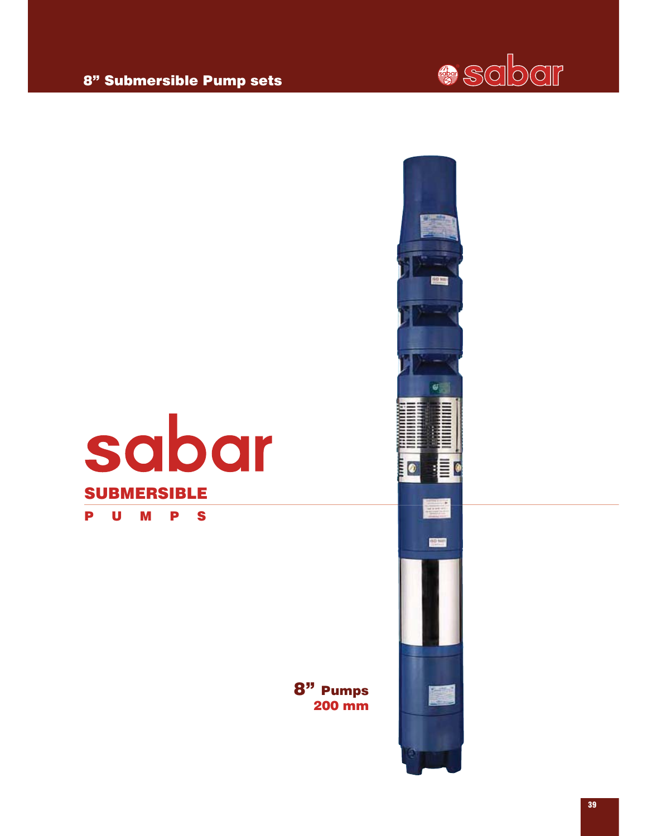



sabar

8" Submersible Pump sets



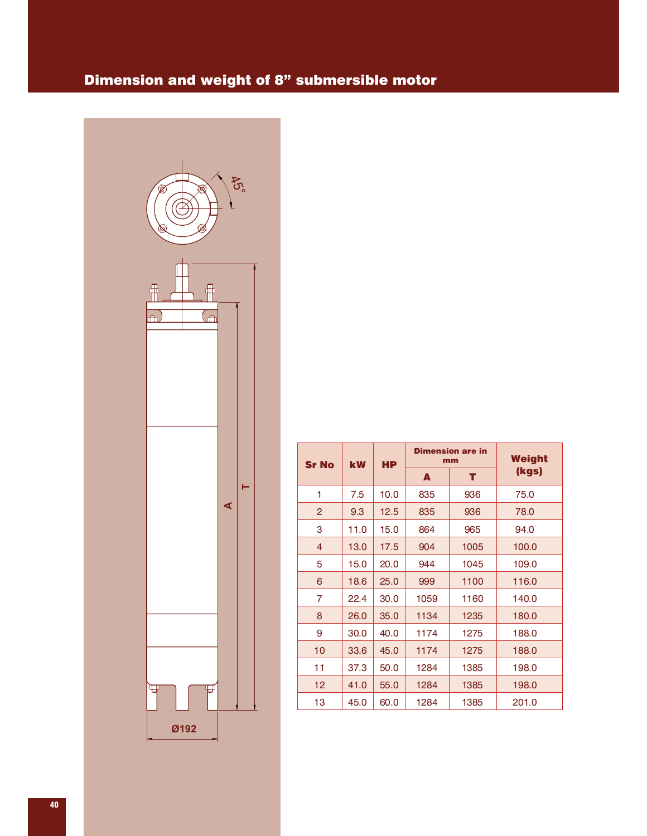## Dimension and weight of 8" submersible motor



| <b>Sr No</b><br><b>kW</b> |      | <b>HP</b> |      | <b>Dimension are in</b><br>mm | Weight |
|---------------------------|------|-----------|------|-------------------------------|--------|
|                           |      |           | A    | т                             | (kgs)  |
| 1                         | 7.5  | 10.0      | 835  | 936                           | 75.0   |
| 2                         | 9.3  | 12.5      | 835  | 936                           | 78.0   |
| 3                         | 11.0 | 15.0      | 864  | 965                           | 94.0   |
| $\overline{4}$            | 13.0 | 17.5      | 904  | 1005                          | 100.0  |
| 5                         | 15.0 | 20.0      | 944  | 1045                          | 109.0  |
| 6                         | 18.6 | 25.0      | 999  | 1100                          | 116.0  |
| 7                         | 22.4 | 30.0      | 1059 | 1160                          | 140.0  |
| 8                         | 26.0 | 35.0      | 1134 | 1235                          | 180.0  |
| 9                         | 30.0 | 40.0      | 1174 | 1275                          | 188.0  |
| 10                        | 33.6 | 45.0      | 1174 | 1275                          | 188.0  |
| 11                        | 37.3 | 50.0      | 1284 | 1385                          | 198.0  |
| 12                        | 41.0 | 55.0      | 1284 | 1385                          | 198.0  |
| 13                        | 45.0 | 60.0      | 1284 | 1385                          | 201.0  |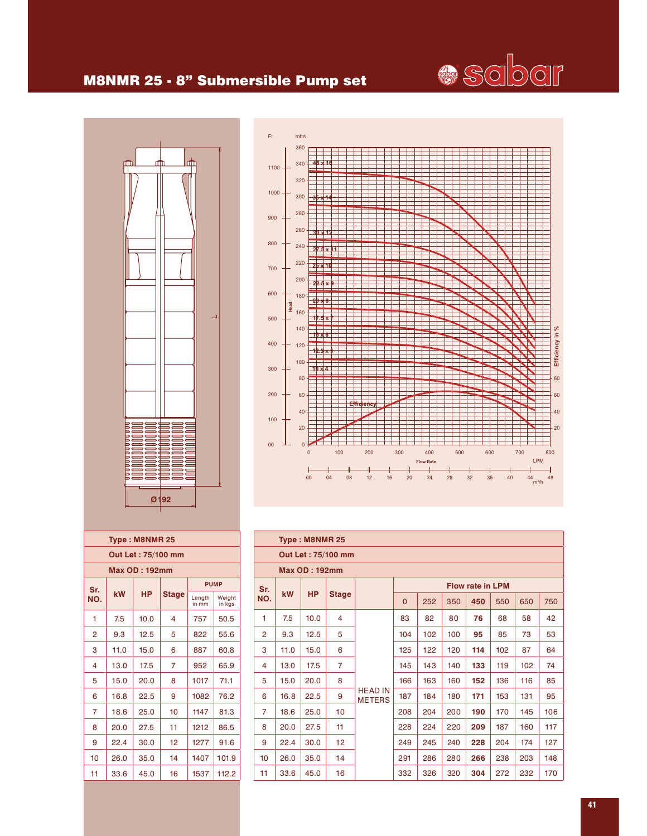

#### M8NMR 25 - 8" Submersible Pump set





| Type: M8NMR 25     |                    |           |              |                 |                  |  |  |  |  |  |  |  |  |  |
|--------------------|--------------------|-----------|--------------|-----------------|------------------|--|--|--|--|--|--|--|--|--|
| Out Let: 75/100 mm |                    |           |              |                 |                  |  |  |  |  |  |  |  |  |  |
| Max OD : 192mm     |                    |           |              |                 |                  |  |  |  |  |  |  |  |  |  |
|                    | <b>PUMP</b><br>Sr. |           |              |                 |                  |  |  |  |  |  |  |  |  |  |
| NO.                | kW                 | <b>HP</b> | <b>Stage</b> | Length<br>in mm | Weiaht<br>in kgs |  |  |  |  |  |  |  |  |  |
| 1                  | 7.5                | 10.0      | 4            | 757             | 50.5             |  |  |  |  |  |  |  |  |  |
| 2                  | 9.3                | 12.5      | 5            | 822             | 55.6             |  |  |  |  |  |  |  |  |  |
| 3                  | 11.0               | 15.0      | 6            | 887             | 60.8             |  |  |  |  |  |  |  |  |  |
| 4                  | 13.0               | 17.5      | 7            | 952             | 65.9             |  |  |  |  |  |  |  |  |  |
| 5                  | 15.0               | 20.0      | 8            | 1017            | 71.1             |  |  |  |  |  |  |  |  |  |
| 6                  | 16.8               | 22.5      | 9            | 1082            | 76.2             |  |  |  |  |  |  |  |  |  |
| 7                  | 18.6               | 25.0      | 10           | 1147            | 81.3             |  |  |  |  |  |  |  |  |  |
| 8                  | 20.0               | 27.5      | 11           | 1212            | 86.5             |  |  |  |  |  |  |  |  |  |
| 9                  | 22.4               | 30.0      | 12           | 1277            | 91.6             |  |  |  |  |  |  |  |  |  |
| 10                 | 26.0               | 35.0      | 14           | 1407            | 101.9            |  |  |  |  |  |  |  |  |  |
| 11                 | 33.6               | 45.0      | 16           | 1537            | 112.2            |  |  |  |  |  |  |  |  |  |

|                | Type: M8NMR 25 |                      |                                                     |                                                |     |     |     |                         |     |     |     |  |  |  |
|----------------|----------------|----------------------|-----------------------------------------------------|------------------------------------------------|-----|-----|-----|-------------------------|-----|-----|-----|--|--|--|
|                |                |                      | Out Let: 75/100 mm                                  |                                                |     |     |     |                         |     |     |     |  |  |  |
|                |                | <b>Max OD: 192mm</b> |                                                     |                                                |     |     |     |                         |     |     |     |  |  |  |
| Sr.            |                |                      |                                                     |                                                |     |     |     | <b>Flow rate in LPM</b> |     |     |     |  |  |  |
| NO.            | kW             | <b>HP</b>            | <b>Stage</b>                                        | 252<br>650<br>350<br>450<br>550<br>$\mathbf 0$ |     |     |     |                         |     |     |     |  |  |  |
| 1              | 7.5            | 10.0                 | 4                                                   |                                                | 83  | 82  | 80  | 76                      | 68  | 58  | 42  |  |  |  |
| $\overline{2}$ | 9.3            | 12.5                 | 5                                                   |                                                | 104 | 102 | 100 | 95                      | 85  | 73  | 53  |  |  |  |
| 3              | 11.0           | 15.0                 | 6                                                   |                                                | 125 | 122 | 120 | 114                     | 102 | 87  | 64  |  |  |  |
| 4              | 13.0           | 17.5                 | $\overline{7}$                                      |                                                | 145 | 143 | 140 | 133                     | 119 | 102 | 74  |  |  |  |
| 5              | 15.0           | 20.0                 | 8                                                   |                                                | 166 | 163 | 160 | 152                     | 136 | 116 | 85  |  |  |  |
| 6              | 16.8           | 22.5                 | 9                                                   | <b>HEAD IN</b><br><b>METERS</b>                | 187 | 184 | 180 | 171                     | 153 | 131 | 95  |  |  |  |
| $\overline{7}$ | 18.6           | 25.0                 | 10                                                  |                                                | 208 | 204 | 200 | 190                     | 170 | 145 | 106 |  |  |  |
| 8              | 20.0           | 27.5                 | 11                                                  |                                                | 228 | 224 | 220 | 209                     | 187 | 160 | 117 |  |  |  |
| 9              | 22.4           | 30.0                 | 12                                                  |                                                | 249 | 245 | 240 | 228                     | 204 | 174 | 127 |  |  |  |
| 10             | 26.0           | 35.0                 | 14                                                  |                                                | 291 | 286 | 280 | 266                     | 238 | 203 | 148 |  |  |  |
| 11             | 33.6           | 45.0                 | 170<br>16<br>332<br>320<br>272<br>232<br>326<br>304 |                                                |     |     |     |                         |     |     |     |  |  |  |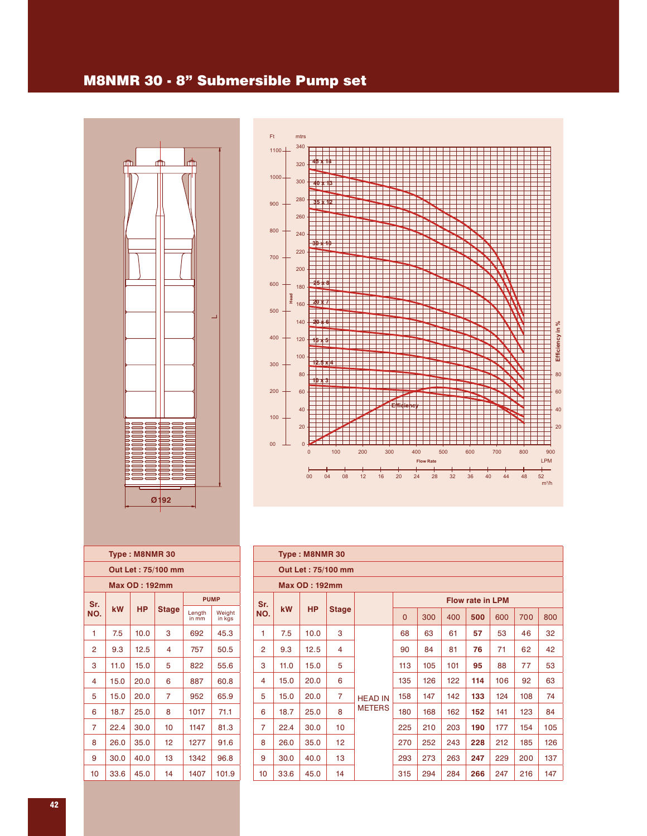#### M8NMR 30 - 8" Submersible Pump set





| Type: M8NMR 30                                    |                                                                        |      |    |      |      |  |  |  |  |  |  |  |  |  |
|---------------------------------------------------|------------------------------------------------------------------------|------|----|------|------|--|--|--|--|--|--|--|--|--|
| Out Let : 75/100 mm                               |                                                                        |      |    |      |      |  |  |  |  |  |  |  |  |  |
| Max OD : 192mm                                    |                                                                        |      |    |      |      |  |  |  |  |  |  |  |  |  |
| <b>PUMP</b><br>Sr.                                |                                                                        |      |    |      |      |  |  |  |  |  |  |  |  |  |
| NO.                                               | kW<br><b>HP</b><br><b>Stage</b><br>Length<br>Weight<br>in kgs<br>in mm |      |    |      |      |  |  |  |  |  |  |  |  |  |
| 1                                                 | 7.5<br>10.0<br>3<br>45.3<br>692                                        |      |    |      |      |  |  |  |  |  |  |  |  |  |
| $\overline{2}$<br>9.3<br>50.5<br>12.5<br>757<br>4 |                                                                        |      |    |      |      |  |  |  |  |  |  |  |  |  |
| 3                                                 | 11.0                                                                   | 15.0 | 5  | 822  | 55.6 |  |  |  |  |  |  |  |  |  |
| 4                                                 | 15.0                                                                   | 20.0 | 6  | 887  | 60.8 |  |  |  |  |  |  |  |  |  |
| 5                                                 | 15.0                                                                   | 20.0 | 7  | 952  | 65.9 |  |  |  |  |  |  |  |  |  |
| 6                                                 | 18.7                                                                   | 25.0 | 8  | 1017 | 71.1 |  |  |  |  |  |  |  |  |  |
| 7                                                 | 22.4                                                                   | 30.0 | 10 | 1147 | 81.3 |  |  |  |  |  |  |  |  |  |
| 8                                                 | 26.0                                                                   | 35.0 | 12 | 1277 | 91.6 |  |  |  |  |  |  |  |  |  |
| 9                                                 | 30.0                                                                   | 40.0 | 13 | 1342 | 96.8 |  |  |  |  |  |  |  |  |  |
| 10                                                | 33.6<br>45.0<br>101.9<br>14<br>1407                                    |      |    |      |      |  |  |  |  |  |  |  |  |  |

|                | Type: M8NMR 30       |           |                    |                |                                                       |     |     |                         |     |     |     |  |  |  |  |
|----------------|----------------------|-----------|--------------------|----------------|-------------------------------------------------------|-----|-----|-------------------------|-----|-----|-----|--|--|--|--|
|                |                      |           | Out Let: 75/100 mm |                |                                                       |     |     |                         |     |     |     |  |  |  |  |
|                | <b>Max OD: 192mm</b> |           |                    |                |                                                       |     |     |                         |     |     |     |  |  |  |  |
| Sr.            |                      |           |                    |                |                                                       |     |     | <b>Flow rate in LPM</b> |     |     |     |  |  |  |  |
| NO.            | <b>kW</b>            | <b>HP</b> | <b>Stage</b>       |                | 300<br>400<br>500<br>600<br>700<br>800<br>$\mathbf 0$ |     |     |                         |     |     |     |  |  |  |  |
| 1              | 7.5                  | 10.0      | 3                  |                | 68                                                    | 63  | 61  | 57                      | 53  | 46  | 32  |  |  |  |  |
| $\overline{2}$ | 9.3                  | 12.5      | 4                  |                | 90                                                    | 84  | 81  | 76                      | 71  | 62  | 42  |  |  |  |  |
| 3              | 11.0                 | 15.0      | 5                  |                | 113                                                   | 105 | 101 | 95                      | 88  | 77  | 53  |  |  |  |  |
| 4              | 15.0                 | 20.0      | 6                  |                | 135                                                   | 126 | 122 | 114                     | 106 | 92  | 63  |  |  |  |  |
| 5              | 15.0                 | 20.0      | $\overline{7}$     | <b>HEAD IN</b> | 158                                                   | 147 | 142 | 133                     | 124 | 108 | 74  |  |  |  |  |
| 6              | 18.7                 | 25.0      | 8                  | <b>METERS</b>  | 180                                                   | 168 | 162 | 152                     | 141 | 123 | 84  |  |  |  |  |
| $\overline{7}$ | 22.4                 | 30.0      | 10                 |                | 225                                                   | 210 | 203 | 190                     | 177 | 154 | 105 |  |  |  |  |
| 8              | 26.0                 | 35.0      | 12 <sup>2</sup>    |                | 270                                                   | 252 | 243 | 228                     | 212 | 185 | 126 |  |  |  |  |
| 9              | 30.0                 | 40.0      | 13                 |                | 293                                                   | 273 | 263 | 247                     | 229 | 200 | 137 |  |  |  |  |
| 10             | 33.6                 | 45.0      | 14                 |                | 315                                                   | 294 | 284 | 266                     | 247 | 216 | 147 |  |  |  |  |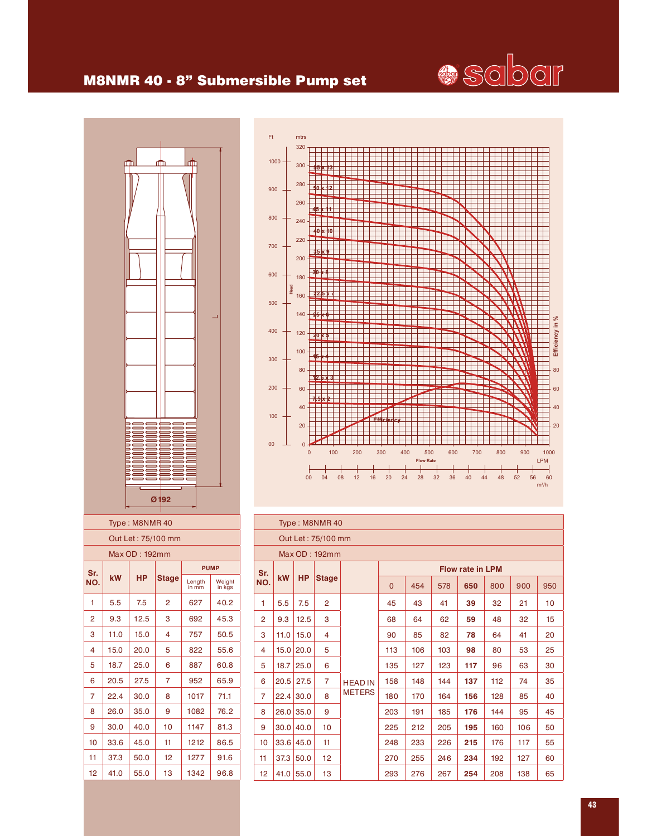

#### M8NMR 40 - 8" Submersible Pump set





|                | Type: M8NMR 40 |           |                    |                |                                                          |     |     |                         |     |     |    |  |  |  |
|----------------|----------------|-----------|--------------------|----------------|----------------------------------------------------------|-----|-----|-------------------------|-----|-----|----|--|--|--|
|                |                |           | Out Let: 75/100 mm |                |                                                          |     |     |                         |     |     |    |  |  |  |
|                |                |           | Max OD: 192mm      |                |                                                          |     |     |                         |     |     |    |  |  |  |
| Sr.            |                |           |                    |                |                                                          |     |     | <b>Flow rate in LPM</b> |     |     |    |  |  |  |
| NO.            | kW             | <b>HP</b> | <b>Stage</b>       |                | $\overline{0}$<br>454<br>578<br>650<br>800<br>900<br>950 |     |     |                         |     |     |    |  |  |  |
| 1              | 5.5            | 7.5       | $\overline{2}$     |                | 45                                                       | 43  | 41  | 39                      | 32  | 21  | 10 |  |  |  |
| $\overline{2}$ | 9.3            | 12.5      | 3                  |                | 68                                                       | 64  | 62  | 59                      | 48  | 32  | 15 |  |  |  |
| 3              | 11.0           | 15.0      | 4                  |                | 85<br>82<br>78<br>20<br>90<br>64<br>41                   |     |     |                         |     |     |    |  |  |  |
| 4              | 15.0           | 20.0      | 5                  |                | 113                                                      | 106 | 103 | 98                      | 80  | 53  | 25 |  |  |  |
| 5              | 18.7           | 25.0      | 6                  |                | 135                                                      | 127 | 123 | 117                     | 96  | 63  | 30 |  |  |  |
| 6              | 20.5           | 27.5      | $\overline{7}$     | <b>HEAD IN</b> | 158                                                      | 148 | 144 | 137                     | 112 | 74  | 35 |  |  |  |
| $\overline{7}$ | 22.4           | 30.0      | 8                  | <b>METERS</b>  | 180                                                      | 170 | 164 | 156                     | 128 | 85  | 40 |  |  |  |
| 8              | 26.0           | 35.0      | 9                  |                | 203                                                      | 191 | 185 | 176                     | 144 | 95  | 45 |  |  |  |
| 9              | 30.0           | 40.0      | 10                 |                | 225                                                      | 212 | 205 | 195                     | 160 | 106 | 50 |  |  |  |
| 10             | 33.6           | 45.0      | 11                 |                | 248                                                      | 233 | 226 | 215                     | 176 | 117 | 55 |  |  |  |
| 11             | 37.3           | 50.0      | 12 <sub>2</sub>    |                | 270                                                      | 255 | 246 | 234                     | 192 | 127 | 60 |  |  |  |
| 12             | 41.0           | 55.0      | 13 <sup>°</sup>    |                | 293                                                      | 276 | 267 | 254                     | 208 | 138 | 65 |  |  |  |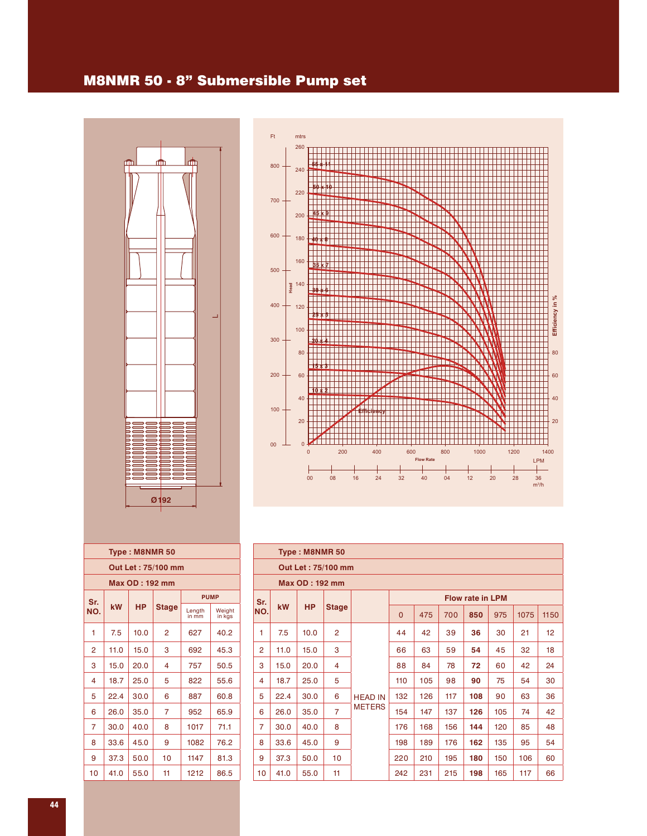#### M8NMR 50 - 8" Submersible Pump set





| Type: M8NMR 50      |                    |      |                |                 |                  |  |  |  |  |  |  |  |  |  |
|---------------------|--------------------|------|----------------|-----------------|------------------|--|--|--|--|--|--|--|--|--|
| Out Let : 75/100 mm |                    |      |                |                 |                  |  |  |  |  |  |  |  |  |  |
| Max OD : 192 mm     |                    |      |                |                 |                  |  |  |  |  |  |  |  |  |  |
|                     | <b>PUMP</b><br>Sr. |      |                |                 |                  |  |  |  |  |  |  |  |  |  |
| NO.                 | kW                 | HP   | Stage          | Length<br>in mm | Weight<br>in kgs |  |  |  |  |  |  |  |  |  |
| 1                   | 7.5                | 10.0 | $\overline{2}$ | 627             | 40.2             |  |  |  |  |  |  |  |  |  |
| 2                   | 11.0               | 15.0 | 3              | 692             | 45.3             |  |  |  |  |  |  |  |  |  |
| 3                   | 15.0               | 20.0 | 4              | 757             | 50.5             |  |  |  |  |  |  |  |  |  |
| 4                   | 18.7               | 25.0 | 5              | 822             | 55.6             |  |  |  |  |  |  |  |  |  |
| 5                   | 22.4               | 30.0 | 6              | 887             | 60.8             |  |  |  |  |  |  |  |  |  |
| 6                   | 26.0               | 35.0 | 7              | 952             | 65.9             |  |  |  |  |  |  |  |  |  |
| 7                   | 30.0               | 40.0 | 8              | 1017            | 71.1             |  |  |  |  |  |  |  |  |  |
| 8                   | 33.6               | 45.0 | 9              | 1082            | 76.2             |  |  |  |  |  |  |  |  |  |
| 9                   | 37.3               | 50.0 | 10             | 1147            | 81.3             |  |  |  |  |  |  |  |  |  |
| 10                  | 41.0               | 55.0 | 11             | 1212            | 86.5             |  |  |  |  |  |  |  |  |  |

|                | Type: M8NMR 50 |                       |                    |                |                                                            |     |     |                         |     |     |    |  |  |  |
|----------------|----------------|-----------------------|--------------------|----------------|------------------------------------------------------------|-----|-----|-------------------------|-----|-----|----|--|--|--|
|                |                |                       | Out Let: 75/100 mm |                |                                                            |     |     |                         |     |     |    |  |  |  |
|                |                | <b>Max OD: 192 mm</b> |                    |                |                                                            |     |     |                         |     |     |    |  |  |  |
| Sr.            |                |                       |                    |                |                                                            |     |     | <b>Flow rate in LPM</b> |     |     |    |  |  |  |
| NO.            | <b>kW</b>      | <b>HP</b>             | <b>Stage</b>       |                | 700<br>1150<br>$\overline{0}$<br>475<br>850<br>975<br>1075 |     |     |                         |     |     |    |  |  |  |
| 1              | 7.5            | 10.0                  | $\overline{c}$     |                | 44                                                         | 42  | 39  | 36                      | 30  | 21  | 12 |  |  |  |
| $\overline{2}$ | 11.0           | 15.0                  | 3                  |                | 66                                                         | 63  | 59  | 54                      | 45  | 32  | 18 |  |  |  |
| 3              | 15.0           | 20.0                  | 4                  |                | 88                                                         | 84  | 78  | 72                      | 60  | 42  | 24 |  |  |  |
| 4              | 18.7           | 25.0                  | 5                  |                | 110                                                        | 105 | 98  | 90                      | 75  | 54  | 30 |  |  |  |
| 5              | 22.4           | 30.0                  | 6                  | <b>HEAD IN</b> | 132                                                        | 126 | 117 | 108                     | 90  | 63  | 36 |  |  |  |
| 6              | 26.0           | 35.0                  | $\overline{7}$     | <b>METERS</b>  | 154                                                        | 147 | 137 | 126                     | 105 | 74  | 42 |  |  |  |
| 7              | 30.0           | 40.0                  | 8                  |                | 176                                                        | 168 | 156 | 144                     | 120 | 85  | 48 |  |  |  |
| 8              | 33.6           | 45.0                  | 9                  |                | 198                                                        | 189 | 176 | 162                     | 135 | 95  | 54 |  |  |  |
| 9              | 37.3           | 50.0                  | 10                 |                | 220                                                        | 210 | 195 | 180                     | 150 | 106 | 60 |  |  |  |
| 10             | 41.0           | 55.0                  | 11                 |                | 242                                                        | 231 | 215 | 198                     | 165 | 117 | 66 |  |  |  |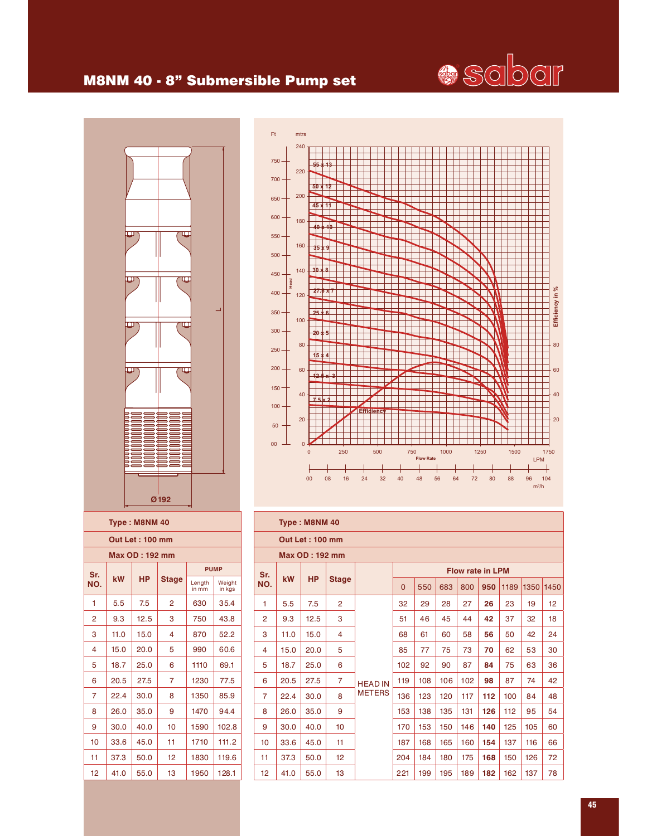# **e** sabar

## M8NM 40 - 8" Submersible Pump set



|                 | 240            |                    |     |    |                   |    |     |                  |      |    |      |    |    |      |            |      |
|-----------------|----------------|--------------------|-----|----|-------------------|----|-----|------------------|------|----|------|----|----|------|------------|------|
| $750 -$         |                | <u> 18</u>         |     |    |                   |    |     |                  |      |    |      |    |    |      |            |      |
| $700 -$         | 220            |                    |     |    |                   |    |     |                  |      |    |      |    |    |      |            |      |
| $650 -$         | 200            | $50 \times 12$     |     |    |                   |    |     |                  |      |    |      |    |    |      |            |      |
|                 |                | 45 x 11            |     |    |                   |    |     |                  |      |    |      |    |    |      |            |      |
| $600 -$         | 180            | $\star$ 10<br>A    |     |    |                   |    |     |                  |      |    |      |    |    |      |            |      |
| $550 -$         | 160            |                    |     |    |                   |    |     |                  |      |    |      |    |    |      |            |      |
| $500 -$         |                | 35 X 9             |     |    |                   |    |     |                  |      |    |      |    |    |      |            |      |
| 450             | 140            | ٩h<br>$\mathbf{R}$ |     |    |                   |    |     |                  |      |    |      |    |    |      |            |      |
| Head<br>$400 -$ | 120            | 27.5 x 7           |     |    |                   |    |     |                  |      |    |      |    |    |      |            |      |
|                 |                |                    |     |    |                   |    |     |                  |      |    |      |    |    |      |            |      |
| $350 -$         | 100            | £.<br>여            |     |    |                   |    |     |                  |      |    |      |    |    |      |            |      |
| $300 -$         |                | 5<br>98            |     |    |                   |    |     |                  |      |    |      |    |    |      |            |      |
| $250 -$         | 80             | 4                  |     |    |                   |    |     |                  |      |    |      |    |    |      |            |      |
| $200 -$         | 60             |                    |     |    |                   |    |     |                  |      |    |      |    |    |      |            |      |
| $150 -$         |                |                    | 3   |    |                   |    |     |                  |      |    |      |    |    |      |            |      |
| $100 -$         | 40             | 5                  |     |    |                   |    |     |                  |      |    |      |    |    |      |            |      |
|                 | 20             |                    |     |    | <b>Efficiency</b> |    |     |                  |      |    |      |    |    |      |            |      |
| $50 -$          |                |                    |     |    |                   |    |     |                  |      |    |      |    |    |      |            |      |
| $00 -$          | $\overline{0}$ | $\overline{0}$     | 250 |    | 500               |    | 750 |                  | 1000 |    | 1250 |    |    | 1500 |            | 1750 |
|                 |                |                    |     |    |                   |    |     | <b>Flow Rate</b> |      |    |      |    |    |      | <b>LPM</b> |      |
|                 |                | 08<br>00           | 16  | 24 | 32                | 40 | 48  |                  | 56   | 64 | 72   | 80 | 88 |      | 96<br>104  |      |

| Type: M8NM 40           |                                  |           |              |                 |                  |  |  |  |  |  |  |  |  |  |
|-------------------------|----------------------------------|-----------|--------------|-----------------|------------------|--|--|--|--|--|--|--|--|--|
|                         | <b>Out Let: 100 mm</b>           |           |              |                 |                  |  |  |  |  |  |  |  |  |  |
| Max OD: 192 mm          |                                  |           |              |                 |                  |  |  |  |  |  |  |  |  |  |
| <b>PUMP</b><br>Sr.      |                                  |           |              |                 |                  |  |  |  |  |  |  |  |  |  |
| NO.                     | kW                               | <b>HP</b> | <b>Stage</b> | Length<br>in mm | Weight<br>in kgs |  |  |  |  |  |  |  |  |  |
| 1                       | 5.5                              | 7.5       | 2            | 630             | 35.4             |  |  |  |  |  |  |  |  |  |
| 2                       | 9.3                              | 12.5      | 3            | 750             | 43.8             |  |  |  |  |  |  |  |  |  |
| 3                       | 52.2<br>11.0<br>15.0<br>870<br>4 |           |              |                 |                  |  |  |  |  |  |  |  |  |  |
| $\overline{\mathbf{4}}$ | 15.0                             | 20.0      | 5            | 990             | 60.6             |  |  |  |  |  |  |  |  |  |
| 5                       | 18.7                             | 25.0      | 6            | 1110            | 69.1             |  |  |  |  |  |  |  |  |  |
| 6                       | 20.5                             | 27.5      | 7            | 1230            | 77.5             |  |  |  |  |  |  |  |  |  |
| 7                       | 22.4                             | 30.0      | 8            | 1350            | 85.9             |  |  |  |  |  |  |  |  |  |
| 8                       | 26.0                             | 35.0      | 9            | 1470            | 94.4             |  |  |  |  |  |  |  |  |  |
| 9                       | 30.0                             | 40.0      | 10           | 1590            | 102.8            |  |  |  |  |  |  |  |  |  |
| 10                      | 33.6                             | 45.0      | 11           | 1710            | 111.2            |  |  |  |  |  |  |  |  |  |
| 11                      | 37.3                             | 50.0      | 12           | 1830            | 119.6            |  |  |  |  |  |  |  |  |  |
| 12                      | 41.0                             | 55.0      | 13           | 1950            | 128.1            |  |  |  |  |  |  |  |  |  |

|                | Type: M8NM 40 |                        |                 |                |                                                              |     |     |     |                         |     |     |    |  |  |
|----------------|---------------|------------------------|-----------------|----------------|--------------------------------------------------------------|-----|-----|-----|-------------------------|-----|-----|----|--|--|
|                |               | <b>Out Let: 100 mm</b> |                 |                |                                                              |     |     |     |                         |     |     |    |  |  |
|                |               | <b>Max OD: 192 mm</b>  |                 |                |                                                              |     |     |     |                         |     |     |    |  |  |
| Sr.            |               |                        |                 |                |                                                              |     |     |     | <b>Flow rate in LPM</b> |     |     |    |  |  |
| NO.            | kW            | <b>HP</b>              | <b>Stage</b>    |                | 1450<br>550<br>683<br>800<br>1189<br>1350<br>$\Omega$<br>950 |     |     |     |                         |     |     |    |  |  |
| 1              | 5.5           | 7.5                    | $\overline{2}$  |                | 32                                                           | 29  | 28  | 27  | 26                      | 23  | 19  | 12 |  |  |
| $\overline{2}$ | 9.3           | 12.5                   | 3               |                | 51                                                           | 46  | 45  | 44  | 42                      | 37  | 32  | 18 |  |  |
| 3              | 11.0          | 15.0                   | 4               |                | 68                                                           | 61  | 60  | 58  | 56                      | 50  | 42  | 24 |  |  |
| 4              | 15.0          | 20.0                   | 5               |                | 85                                                           | 77  | 75  | 73  | 70                      | 62  | 53  | 30 |  |  |
| 5              | 18.7          | 25.0                   | 6               |                | 102                                                          | 92  | 90  | 87  | 84                      | 75  | 63  | 36 |  |  |
| 6              | 20.5          | 27.5                   | $\overline{7}$  | <b>HEAD IN</b> | 119                                                          | 108 | 106 | 102 | 98                      | 87  | 74  | 42 |  |  |
| $\overline{7}$ | 22.4          | 30.0                   | 8               | <b>METERS</b>  | 136                                                          | 123 | 120 | 117 | 112                     | 100 | 84  | 48 |  |  |
| 8              | 26.0          | 35.0                   | 9               |                | 153                                                          | 138 | 135 | 131 | 126                     | 112 | 95  | 54 |  |  |
| 9              | 30.0          | 40.0                   | 10              |                | 170                                                          | 153 | 150 | 146 | 140                     | 125 | 105 | 60 |  |  |
| 10             | 33.6          | 45.0                   | 11              |                | 187                                                          | 168 | 165 | 160 | 154                     | 137 | 116 | 66 |  |  |
| 11             | 37.3          | 50.0                   | 12 <sup>2</sup> |                | 204                                                          | 184 | 180 | 175 | 168                     | 150 | 126 | 72 |  |  |
| 12             | 41.0          | 55.0                   | 13              |                | 221                                                          | 199 | 195 | 189 | 182                     | 162 | 137 | 78 |  |  |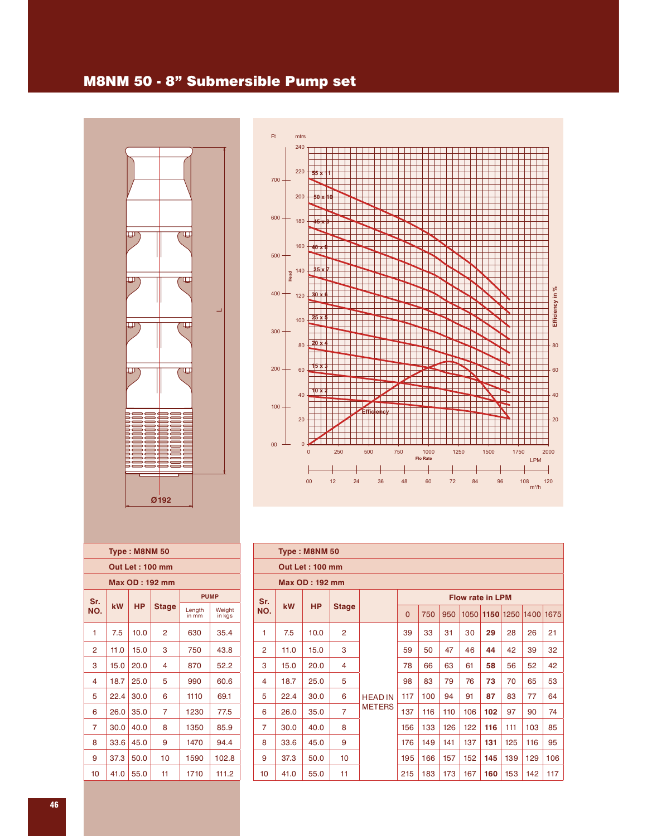#### M8NM 50 - 8" Submersible Pump set





| Type: M8NM 50      |                        |           |                |                 |                  |  |  |  |  |  |  |  |  |  |  |
|--------------------|------------------------|-----------|----------------|-----------------|------------------|--|--|--|--|--|--|--|--|--|--|
|                    | <b>Out Let: 100 mm</b> |           |                |                 |                  |  |  |  |  |  |  |  |  |  |  |
| Max OD : 192 mm    |                        |           |                |                 |                  |  |  |  |  |  |  |  |  |  |  |
| <b>PUMP</b><br>Sr. |                        |           |                |                 |                  |  |  |  |  |  |  |  |  |  |  |
| NO.                | kW                     | <b>HP</b> | <b>Stage</b>   | Length<br>in mm | Weight<br>in kgs |  |  |  |  |  |  |  |  |  |  |
| 1                  | 7.5                    | 10.0      | $\overline{2}$ | 630             | 35.4             |  |  |  |  |  |  |  |  |  |  |
| $\mathcal{P}$      | 11.0                   | 15.0      | з              | 750             | 43.8             |  |  |  |  |  |  |  |  |  |  |
| 3                  | 15.0                   | 20.0      | 4              | 870             | 52.2             |  |  |  |  |  |  |  |  |  |  |
| 4                  | 18.7                   | 25.0      | 5              | 990             | 60.6             |  |  |  |  |  |  |  |  |  |  |
| 5                  | 22.4                   | 30.0      | 6              | 1110            | 69.1             |  |  |  |  |  |  |  |  |  |  |
| 6                  | 26.0                   | 35.0      | 7              | 1230            | 77.5             |  |  |  |  |  |  |  |  |  |  |
| 7                  | 30.0                   | 40.0      | 8              | 1350            | 85.9             |  |  |  |  |  |  |  |  |  |  |
| 8                  | 33.6                   | 45.0      | 9              | 1470            | 94.4             |  |  |  |  |  |  |  |  |  |  |
| 9                  | 37.3                   | 50.0      | 10             | 1590            | 102.8            |  |  |  |  |  |  |  |  |  |  |
| 10                 | 41.0                   | 55.0      | 11             | 1710            | 111.2            |  |  |  |  |  |  |  |  |  |  |
|                    |                        |           |                |                 |                  |  |  |  |  |  |  |  |  |  |  |

|                | Type: M8NM 50 |                        |                |                |          |     |     |                         |           |     |                |     |  |
|----------------|---------------|------------------------|----------------|----------------|----------|-----|-----|-------------------------|-----------|-----|----------------|-----|--|
|                |               | <b>Out Let: 100 mm</b> |                |                |          |     |     |                         |           |     |                |     |  |
|                |               | <b>Max OD: 192 mm</b>  |                |                |          |     |     |                         |           |     |                |     |  |
| Sr.            |               |                        |                |                |          |     |     | <b>Flow rate in LPM</b> |           |     |                |     |  |
| NO.            | <b>kW</b>     | <b>HP</b>              | <b>Stage</b>   |                | $\Omega$ | 750 | 950 |                         | 1050 1150 |     | 1250 1400 1675 |     |  |
| 1              | 7.5           | 10.0                   | $\overline{2}$ |                | 39       | 33  | 31  | 30                      | 29        | 28  | 26             | 21  |  |
| $\overline{2}$ | 11.0          | 15.0                   | 3              |                | 59       | 50  | 47  | 46                      | 44        | 42  | 39             | 32  |  |
| 3              | 15.0          | 20.0                   | 4              |                | 78       | 66  | 63  | 61                      | 58        | 56  | 52             | 42  |  |
| 4              | 18.7          | 25.0                   | 5              |                | 98       | 83  | 79  | 76                      | 73        | 70  | 65             | 53  |  |
| 5              | 22.4          | 30.0                   | 6              | <b>HEAD IN</b> | 117      | 100 | 94  | 91                      | 87        | 83  | 77             | 64  |  |
| 6              | 26.0          | 35.0                   | $\overline{7}$ | <b>METERS</b>  | 137      | 116 | 110 | 106                     | 102       | 97  | 90             | 74  |  |
| $\overline{7}$ | 30.0          | 40.0                   | 8              |                | 156      | 133 | 126 | 122                     | 116       | 111 | 103            | 85  |  |
| 8              | 33.6          | 45.0                   | 9              |                | 176      | 149 | 141 | 137                     | 131       | 125 | 116            | 95  |  |
| 9              | 37.3          | 50.0                   | 10             |                | 195      | 166 | 157 | 152                     | 145       | 139 | 129            | 106 |  |
| 10             | 41.0          | 55.0                   | 11             |                | 215      | 183 | 173 | 167                     | 160       | 153 | 142            | 117 |  |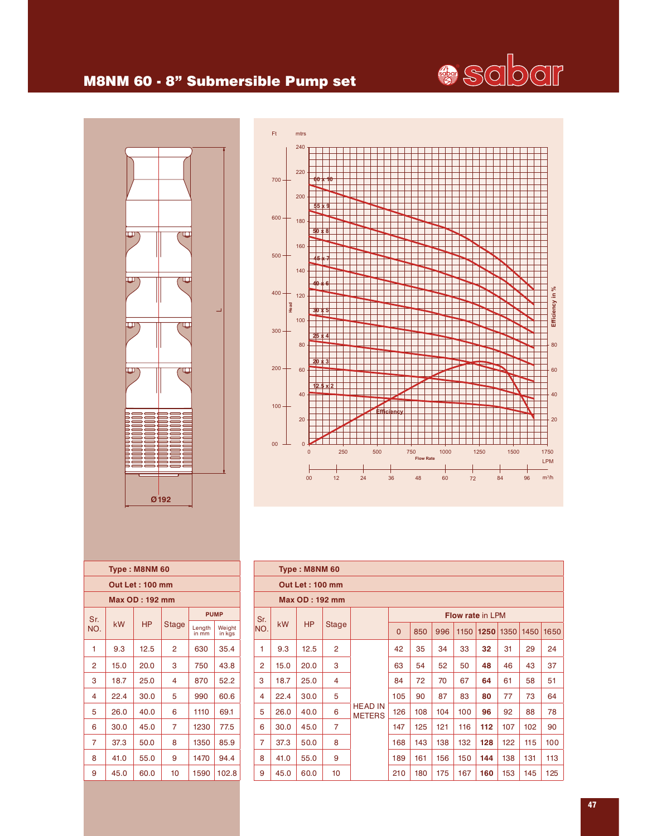

#### M8NM 60 - 8" Submersible Pump set





|               |      | Type: M8NM 60          |              |                 |                  |
|---------------|------|------------------------|--------------|-----------------|------------------|
|               |      | <b>Out Let: 100 mm</b> |              |                 |                  |
|               |      | Max OD : 192 mm        |              |                 |                  |
| Sr.           |      |                        |              |                 | <b>PUMP</b>      |
| NO.           | kW   | HP                     | <b>Stage</b> | Length<br>in mm | Weight<br>in kas |
| 1             | 9.3  | 12.5                   | 2            | 630             | 35.4             |
| $\mathcal{P}$ | 15.0 | 20.0                   | 3            | 750             | 43.8             |
| 3             | 18.7 | 25.0                   | 4            | 870             | 52.2             |
| 4             | 22.4 | 30.0                   | 5            | 990             | 60.6             |
| 5             | 26.0 | 40.0                   | 6            | 1110            | 69.1             |
| 6             | 30.0 | 45.0                   | 7            | 1230            | 77.5             |
| 7             | 37.3 | 50.0                   | 8            | 1350            | 85.9             |
| 8             | 41.0 | 55.0                   | 9            | 1470            | 94.4             |
| 9             | 45.0 | 60.0                   | 10           | 1590            | 102.8            |
|               |      |                        |              |                 |                  |

|                | Type: M8NM 60 |                        |                |                                 |          |     |     |      |                         |      |      |      |  |
|----------------|---------------|------------------------|----------------|---------------------------------|----------|-----|-----|------|-------------------------|------|------|------|--|
|                |               | <b>Out Let: 100 mm</b> |                |                                 |          |     |     |      |                         |      |      |      |  |
|                |               | <b>Max OD: 192 mm</b>  |                |                                 |          |     |     |      |                         |      |      |      |  |
| Sr.            |               |                        |                |                                 |          |     |     |      | <b>Flow rate in LPM</b> |      |      |      |  |
| NO.            | <b>kW</b>     | <b>HP</b>              | <b>Stage</b>   |                                 | $\Omega$ | 850 | 996 | 1150 | 1250                    | 1350 | 1450 | 1650 |  |
| 1              | 9.3           | 12.5                   | $\overline{2}$ |                                 | 42       | 35  | 34  | 33   | 32                      | 31   | 29   | 24   |  |
| $\overline{2}$ | 15.0          | 20.0                   | 3              |                                 | 63       | 54  | 52  | 50   | 48                      | 46   | 43   | 37   |  |
| 3              | 18.7          | 25.0                   | 4              |                                 | 84       | 72  | 70  | 67   | 64                      | 61   | 58   | 51   |  |
| 4              | 22.4          | 30.0                   | 5              |                                 | 105      | 90  | 87  | 83   | 80                      | 77   | 73   | 64   |  |
| 5              | 26.0          | 40.0                   | 6              | <b>HEAD IN</b><br><b>METERS</b> | 126      | 108 | 104 | 100  | 96                      | 92   | 88   | 78   |  |
| 6              | 30.0          | 45.0                   | 7              |                                 | 147      | 125 | 121 | 116  | 112                     | 107  | 102  | 90   |  |
| $\overline{7}$ | 37.3          | 50.0                   | 8              |                                 | 168      | 143 | 138 | 132  | 128                     | 122  | 115  | 100  |  |
| 8              | 41.0          | 55.0                   | 9              |                                 | 189      | 161 | 156 | 150  | 144                     | 138  | 131  | 113  |  |
| 9              | 45.0          | 60.0                   | 10             |                                 | 210      | 180 | 175 | 167  | 160                     | 153  | 145  | 125  |  |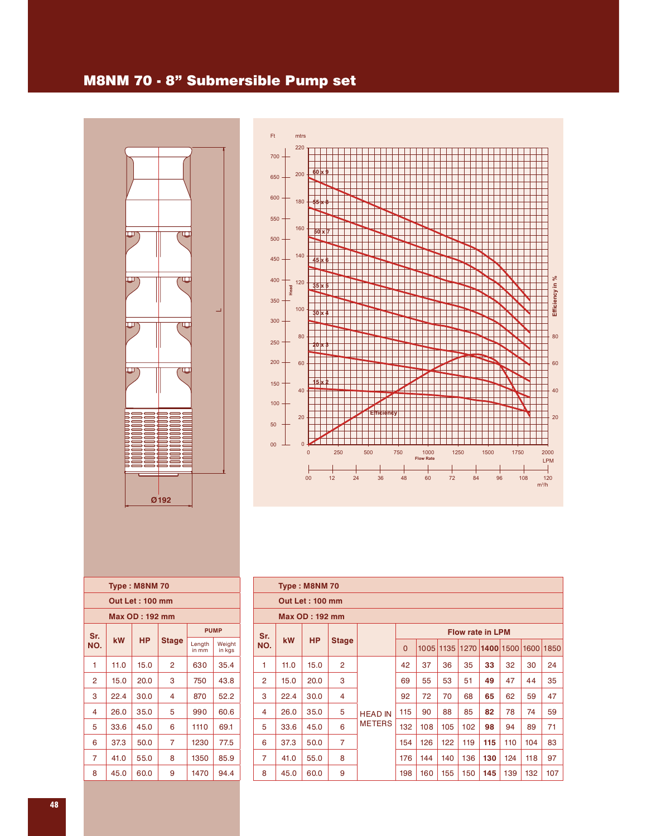## M8NM 70 - 8" Submersible Pump set



| Ft.     | mtrs           |               |     |     |                   |     |                  |      |          |      |                 |
|---------|----------------|---------------|-----|-----|-------------------|-----|------------------|------|----------|------|-----------------|
| $700 -$ | 220            |               |     |     |                   |     |                  |      |          |      |                 |
| $650 -$ | 200            | $60 \times 9$ |     |     |                   |     |                  |      |          |      |                 |
| $600 -$ | 180            | 55 x          | ж   |     |                   |     |                  |      |          |      |                 |
| $550 -$ | 160            |               |     |     |                   |     |                  |      |          |      |                 |
| $500 -$ |                | $50 \times 7$ |     |     |                   |     |                  |      |          |      |                 |
| $450 -$ | 140            | 45 x 6        |     |     |                   |     |                  |      |          |      |                 |
| $400 -$ | 120<br>Head    | $35 \times 5$ |     |     |                   |     |                  |      |          |      | Efficiency in % |
| $350 -$ |                |               |     |     |                   |     |                  |      |          |      |                 |
| $300 -$ | 100            | $30 \times 4$ |     |     |                   |     |                  |      |          |      |                 |
| 250     | 80             | 20 x 3        |     |     |                   |     |                  |      |          |      | 80              |
| $200 -$ | 60             |               |     |     |                   |     |                  |      |          |      | 60              |
| $150 -$ | 40             | 5             |     |     |                   |     |                  |      |          |      | 40              |
| $100 -$ |                |               |     |     |                   |     |                  |      |          |      |                 |
| 50      | 20             |               |     |     | <b>Efficiency</b> |     |                  |      |          |      | 20              |
| 00      | $\overline{0}$ |               | 250 | 500 |                   |     | 1000             | 1250 |          | 1750 | 2000            |
|         |                | $\mathbf 0$   |     |     |                   | 750 | <b>Flow Rate</b> |      | 1500     |      | <b>LPM</b>      |
|         |                | 00            | 12  | 24  | 36                | 48  | 60               | 72   | 84<br>96 | 108  | 120<br>$m^3/h$  |

|     |      | Type: M8NM70          |              |                 |                  |
|-----|------|-----------------------|--------------|-----------------|------------------|
|     |      | Out Let: 100 mm       |              |                 |                  |
|     |      | <b>Max OD: 192 mm</b> |              |                 |                  |
| Sr. |      |                       |              | <b>PUMP</b>     |                  |
| NO. | kW   | <b>HP</b>             | <b>Stage</b> | Length<br>in mm | Weight<br>in kgs |
| 1   | 11.0 | 15.0                  | 2            | 630             | 35.4             |
| 2   | 15.0 | 20.0                  | 3            | 750             | 43.8             |
| 3   | 22.4 | 30.0                  | 4            | 870             | 52.2             |
| 4   | 26.0 | 35.0                  | 5            | 990             | 60.6             |
| 5   | 33.6 | 45.0                  | 6            | 1110            | 69.1             |
| 6   | 37.3 | 50.0                  | 7            | 1230            | 77.5             |
| 7   | 41.0 | 55.0                  | 8            | 1350            | 85.9             |
| 8   | 45.0 | 60.0                  | 9            | 1470            | 94.4             |
|     |      |                       |              |                 |                  |

|                | Type: M8NM 70          |                |                |                |             |      |      |     |                         |     |      |      |  |  |  |
|----------------|------------------------|----------------|----------------|----------------|-------------|------|------|-----|-------------------------|-----|------|------|--|--|--|
|                | <b>Out Let: 100 mm</b> |                |                |                |             |      |      |     |                         |     |      |      |  |  |  |
|                |                        | Max OD: 192 mm |                |                |             |      |      |     |                         |     |      |      |  |  |  |
| Sr.            |                        |                |                |                |             |      |      |     | <b>Flow rate in LPM</b> |     |      |      |  |  |  |
| NO.            | <b>kW</b>              | <b>HP</b>      | <b>Stage</b>   |                | $\mathbf 0$ | 1005 | 1135 |     | 1270 1400 1500          |     | 1600 | 1850 |  |  |  |
| 1              | 11.0                   | 15.0           | $\overline{2}$ |                | 42          | 37   | 36   | 35  | 33                      | 32  | 30   | 24   |  |  |  |
| $\overline{2}$ | 15.0                   | 20.0           | 3              |                | 69          | 55   | 53   | 51  | 49                      | 47  | 44   | 35   |  |  |  |
| 3              | 22.4                   | 30.0           | $\overline{4}$ |                | 92          | 72   | 70   | 68  | 65                      | 62  | 59   | 47   |  |  |  |
| 4              | 26.0                   | 35.0           | 5              | <b>HEAD IN</b> | 115         | 90   | 88   | 85  | 82                      | 78  | 74   | 59   |  |  |  |
| 5              | 33.6                   | 45.0           | 6              | <b>METERS</b>  | 132         | 108  | 105  | 102 | 98                      | 94  | 89   | 71   |  |  |  |
| 6              | 37.3                   | 50.0           | $\overline{7}$ |                | 154         | 126  | 122  | 119 | 115                     | 110 | 104  | 83   |  |  |  |
| $\overline{7}$ | 41.0                   | 55.0           | 8              |                | 176         | 144  | 140  | 136 | 130                     | 124 | 118  | 97   |  |  |  |
| 8              | 45.0                   | 60.0           | 9              |                | 198         | 160  | 155  | 150 | 145                     | 139 | 132  | 107  |  |  |  |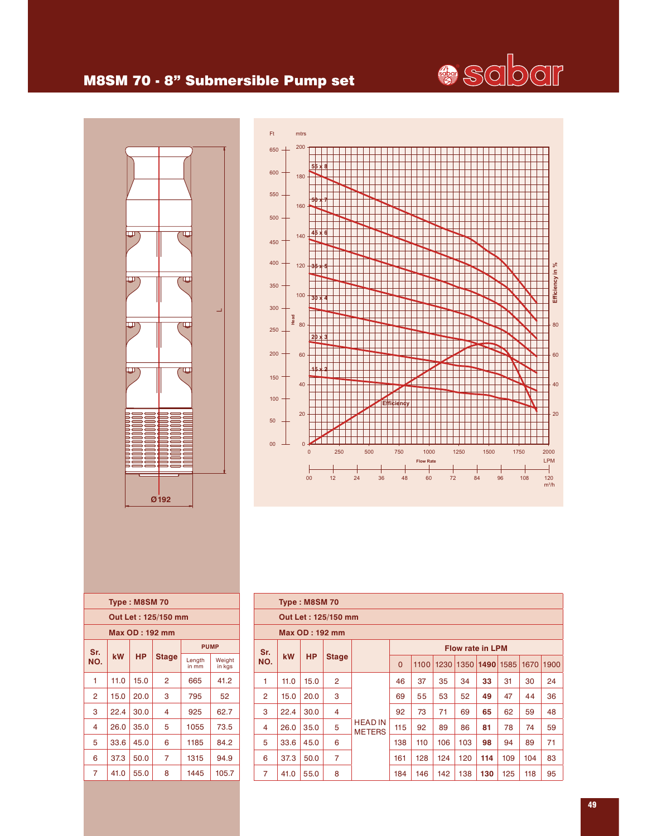## **Seber**

#### M8SM 70 - 8" Submersible Pump set





|                       |      | <b>Type: M8SM70</b> |              |                 |                  |  |  |  |  |  |  |  |
|-----------------------|------|---------------------|--------------|-----------------|------------------|--|--|--|--|--|--|--|
| Out Let : 125/150 mm  |      |                     |              |                 |                  |  |  |  |  |  |  |  |
| <b>Max OD: 192 mm</b> |      |                     |              |                 |                  |  |  |  |  |  |  |  |
| Sr.                   |      |                     |              |                 | <b>PUMP</b>      |  |  |  |  |  |  |  |
| NO.                   | kW   | <b>HP</b>           | <b>Stage</b> | Length<br>in mm | Weight<br>in kgs |  |  |  |  |  |  |  |
| 1                     | 11.0 | 15.0                | 2            | 665             | 41.2             |  |  |  |  |  |  |  |
| 2                     | 15.0 | 20.0                | 3            | 795             | 52               |  |  |  |  |  |  |  |
| 3                     | 22.4 | 30.0                | 4            | 925             | 62.7             |  |  |  |  |  |  |  |
| 4                     | 26.0 | 35.0                | 5            | 1055            | 73.5             |  |  |  |  |  |  |  |
| 5                     | 33.6 | 45.0                | 6            | 1185            | 84.2             |  |  |  |  |  |  |  |
| 6                     | 37.3 | 50.0                | 7            | 1315            | 94.9             |  |  |  |  |  |  |  |
| 7                     | 41.0 | 55.0                | 8            | 1445            | 105.7            |  |  |  |  |  |  |  |

|                | Type: M8SM 70         |           |                |                                 |          |      |      |      |                         |      |      |      |  |  |
|----------------|-----------------------|-----------|----------------|---------------------------------|----------|------|------|------|-------------------------|------|------|------|--|--|
|                | Out Let: 125/150 mm   |           |                |                                 |          |      |      |      |                         |      |      |      |  |  |
|                | <b>Max OD: 192 mm</b> |           |                |                                 |          |      |      |      |                         |      |      |      |  |  |
| Sr.            |                       |           |                |                                 |          |      |      |      | <b>Flow rate in LPM</b> |      |      |      |  |  |
| NO.            | kW                    | <b>HP</b> | <b>Stage</b>   |                                 | $\Omega$ | 1100 | 1230 | 1350 | 1490                    | 1585 | 1670 | 1900 |  |  |
| 1              | 11.0                  | 15.0      | $\overline{2}$ |                                 | 46       | 37   | 35   | 34   | 33                      | 31   | 30   | 24   |  |  |
| $\overline{2}$ | 15.0                  | 20.0      | 3              |                                 | 69       | 55   | 53   | 52   | 49                      | 47   | 44   | 36   |  |  |
| 3              | 22.4                  | 30.0      | 4              |                                 | 92       | 73   | 71   | 69   | 65                      | 62   | 59   | 48   |  |  |
| 4              | 26.0                  | 35.0      | 5              | <b>HEAD IN</b><br><b>METERS</b> | 115      | 92   | 89   | 86   | 81                      | 78   | 74   | 59   |  |  |
| 5              | 33.6                  | 45.0      | 6              |                                 | 138      | 110  | 106  | 103  | 98                      | 94   | 89   | 71   |  |  |
| 6              | 37.3                  | 50.0      | $\overline{7}$ |                                 | 161      | 128  | 124  | 120  | 114                     | 109  | 104  | 83   |  |  |
| 7              | 41.0                  | 55.0      | 8              |                                 | 184      | 146  | 142  | 138  | 130                     | 125  | 118  | 95   |  |  |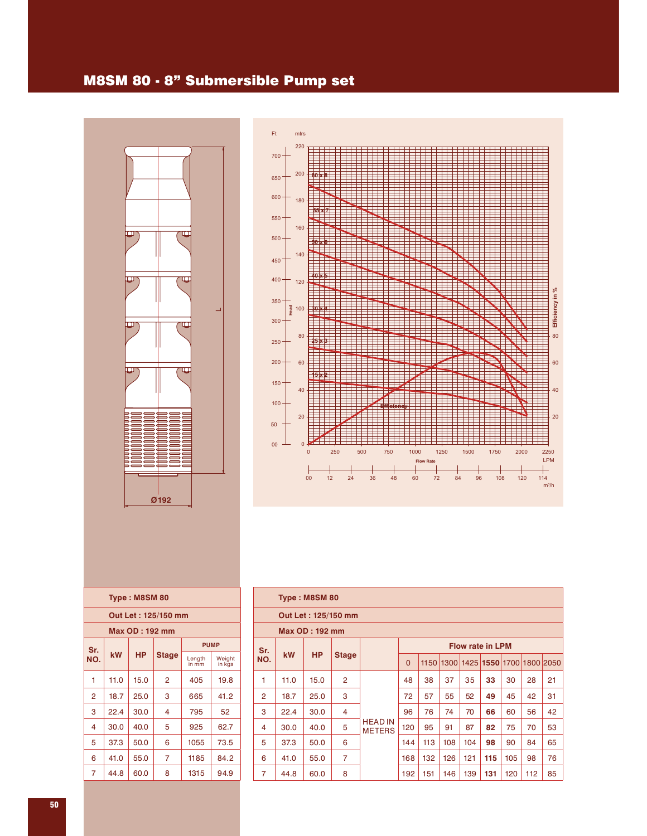#### M8SM 80 - 8" Submersible Pump set





|                |      | Type: M8SM 80         |                     |                 |                  |
|----------------|------|-----------------------|---------------------|-----------------|------------------|
|                |      |                       | Out Let: 125/150 mm |                 |                  |
|                |      | <b>Max OD: 192 mm</b> |                     |                 |                  |
| Sr.            |      |                       |                     | <b>PUMP</b>     |                  |
| NO.            | kW   | НP                    | <b>Stage</b>        | Length<br>in mm | Weight<br>in kgs |
| 1              | 11.0 | 15.0                  | 2                   | 405             | 19.8             |
| $\overline{2}$ | 18.7 | 25.0                  | 3                   | 665             | 41.2             |
| 3              | 22.4 | 30.0                  | 4                   | 795             | 52               |
| 4              | 30.0 | 40.0                  | 5                   | 925             | 62.7             |
| 5              | 37.3 | 50.0                  | 6                   | 1055            | 73.5             |
| 6              | 41.0 | 55.0                  | 7                   | 1185            | 84.2             |
| 7              | 44.8 | 60.0                  | 8                   | 1315            | 94.9             |
|                |      |                       |                     |                 |                  |

|                | Type: M8SM 80 |                     |                |                                 |          |      |     |     |                               |     |     |    |  |  |
|----------------|---------------|---------------------|----------------|---------------------------------|----------|------|-----|-----|-------------------------------|-----|-----|----|--|--|
|                |               | Out Let: 125/150 mm |                |                                 |          |      |     |     |                               |     |     |    |  |  |
|                |               | Max OD: 192 mm      |                |                                 |          |      |     |     |                               |     |     |    |  |  |
| Sr.            |               |                     |                |                                 |          |      |     |     | <b>Flow rate in LPM</b>       |     |     |    |  |  |
| NO.            | <b>kW</b>     | <b>HP</b>           | <b>Stage</b>   |                                 | $\Omega$ | 1150 |     |     | 1300 1425 1550 1700 1800 2050 |     |     |    |  |  |
| 1              | 11.0          | 15.0                | $\overline{2}$ |                                 | 48       | 38   | 37  | 35  | 33                            | 30  | 28  | 21 |  |  |
| $\overline{2}$ | 18.7          | 25.0                | 3              |                                 | 72       | 57   | 55  | 52  | 49                            | 45  | 42  | 31 |  |  |
| 3              | 22.4          | 30.0                | 4              |                                 | 96       | 76   | 74  | 70  | 66                            | 60  | 56  | 42 |  |  |
| 4              | 30.0          | 40.0                | 5              | <b>HEAD IN</b><br><b>METERS</b> | 120      | 95   | 91  | 87  | 82                            | 75  | 70  | 53 |  |  |
| 5              | 37.3          | 50.0                | 6              |                                 | 144      | 113  | 108 | 104 | 98                            | 90  | 84  | 65 |  |  |
| 6              | 41.0          | 55.0                | 7              |                                 | 168      | 132  | 126 | 121 | 115                           | 105 | 98  | 76 |  |  |
| $\overline{7}$ | 44.8          | 60.0                | 8              |                                 | 192      | 151  | 146 | 139 | 131                           | 120 | 112 | 85 |  |  |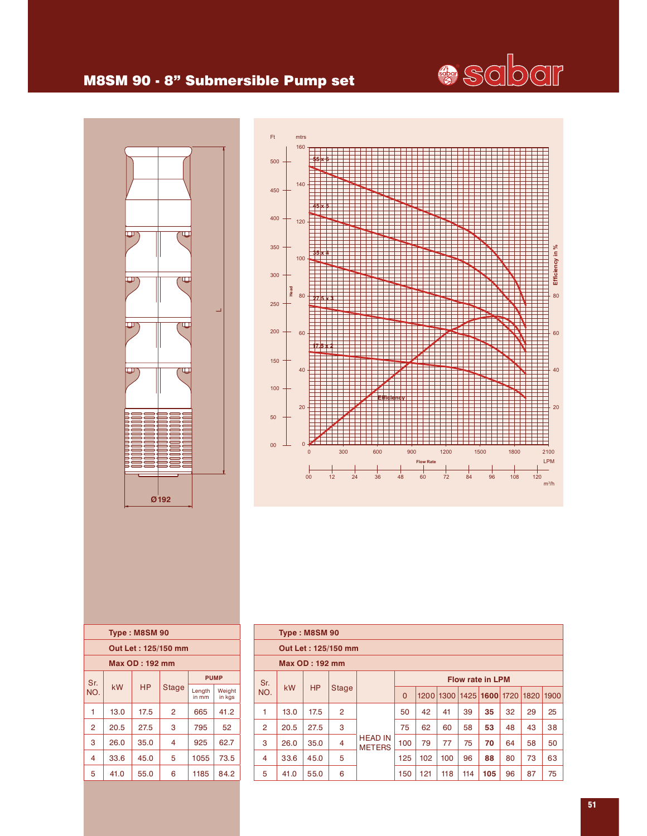

#### M8SM 90 - 8" Submersible Pump set





|     |                    | Type: M8SM 90         |                     |                 |                  |  |  |  |  |  |  |  |  |
|-----|--------------------|-----------------------|---------------------|-----------------|------------------|--|--|--|--|--|--|--|--|
|     |                    |                       | Out Let: 125/150 mm |                 |                  |  |  |  |  |  |  |  |  |
|     |                    | <b>Max OD: 192 mm</b> |                     |                 |                  |  |  |  |  |  |  |  |  |
|     | <b>PUMP</b><br>Sr. |                       |                     |                 |                  |  |  |  |  |  |  |  |  |
| NO. | kW                 | <b>HP</b>             | <b>Stage</b>        | Length<br>in mm | Weight<br>in kgs |  |  |  |  |  |  |  |  |
| 1   | 13.0               | 17.5                  | 2                   | 665             | 41.2             |  |  |  |  |  |  |  |  |
| 2   | 20.5               | 27.5                  | 3                   | 795             | 52               |  |  |  |  |  |  |  |  |
| 3   | 26.0               | 35.0                  | 4                   | 925             | 62.7             |  |  |  |  |  |  |  |  |
| 4   | 33.6               | 45.0                  | 5                   | 1055            | 73.5             |  |  |  |  |  |  |  |  |
| 5   | 41.0               | 55.0                  | 6                   | 1185            | 84.2             |  |  |  |  |  |  |  |  |
|     |                    |                       |                     |                 |                  |  |  |  |  |  |  |  |  |

|                | Type: M8SM 90 |                       |                     |                                 |          |     |                          |     |                         |    |      |      |  |  |
|----------------|---------------|-----------------------|---------------------|---------------------------------|----------|-----|--------------------------|-----|-------------------------|----|------|------|--|--|
|                |               |                       | Out Let: 125/150 mm |                                 |          |     |                          |     |                         |    |      |      |  |  |
|                |               | <b>Max OD: 192 mm</b> |                     |                                 |          |     |                          |     |                         |    |      |      |  |  |
| Sr.            |               |                       |                     |                                 |          |     |                          |     | <b>Flow rate in LPM</b> |    |      |      |  |  |
| NO.            | kW            | <b>HP</b>             | <b>Stage</b>        |                                 | $\Omega$ |     | 1200 1300 1425 1600 1720 |     |                         |    | 1820 | 1900 |  |  |
| 1              | 13.0          | 17.5                  | $\overline{2}$      |                                 | 50       | 42  | 41                       | 39  | 35                      | 32 | 29   | 25   |  |  |
| $\overline{2}$ | 20.5          | 27.5                  | 3                   |                                 | 75       | 62  | 60                       | 58  | 53                      | 48 | 43   | 38   |  |  |
| 3              | 26.0          | 35.0                  | $\overline{4}$      | <b>HEAD IN</b><br><b>METERS</b> | 100      | 79  | 77                       | 75  | 70                      | 64 | 58   | 50   |  |  |
| 4              | 33.6          | 45.0                  | 5                   |                                 | 125      | 102 | 100                      | 96  | 88                      | 80 | 73   | 63   |  |  |
| 5              | 41.0          | 55.0                  | 6                   |                                 | 150      | 121 | 118                      | 114 | 105                     | 96 | 87   | 75   |  |  |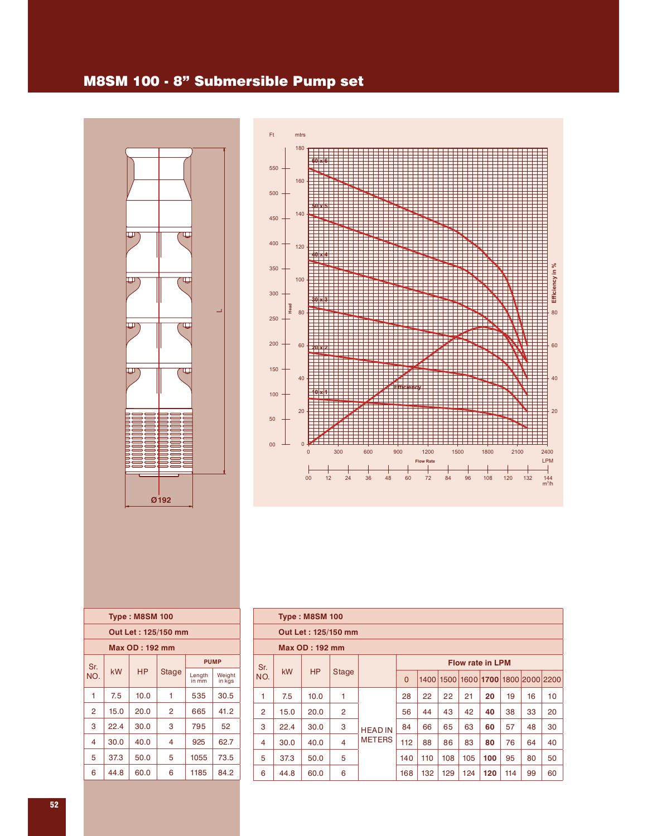#### M8SM 100 - 8" Submersible Pump set





| <b>Type: M8SM 100</b> |      |           |       |                 |                  |  |  |  |  |
|-----------------------|------|-----------|-------|-----------------|------------------|--|--|--|--|
| Out Let: 125/150 mm   |      |           |       |                 |                  |  |  |  |  |
| Max OD: 192 mm        |      |           |       |                 |                  |  |  |  |  |
| Sr.                   |      | <b>HP</b> | Stage | <b>PUMP</b>     |                  |  |  |  |  |
| NO.                   | kW   |           |       | Length<br>in mm | Weight<br>in kgs |  |  |  |  |
| 1                     | 7.5  | 10.0      | 1     | 535             | 30.5             |  |  |  |  |
| 2                     | 15.0 | 20.0      | 2     | 665             | 41.2             |  |  |  |  |
| 3                     | 22.4 | 30.0      | 3     | 795             | 52               |  |  |  |  |
| 4                     | 30.0 | 40.0      | 4     | 925             | 62.7             |  |  |  |  |
| 5                     | 37.3 | 50.0      | 5     | 1055            | 73.5             |  |  |  |  |
| 6                     | 44.8 | 60.0      | 6     | 1185            | 84.2             |  |  |  |  |
|                       |      |           |       |                 |                  |  |  |  |  |

| <b>Type: M8SM 100</b> |           |           |                |                                 |                         |     |     |     |     |     |                                    |    |
|-----------------------|-----------|-----------|----------------|---------------------------------|-------------------------|-----|-----|-----|-----|-----|------------------------------------|----|
| Out Let: 125/150 mm   |           |           |                |                                 |                         |     |     |     |     |     |                                    |    |
| <b>Max OD: 192 mm</b> |           |           |                |                                 |                         |     |     |     |     |     |                                    |    |
| Sr.<br>NO.            |           |           | <b>Stage</b>   |                                 | <b>Flow rate in LPM</b> |     |     |     |     |     |                                    |    |
|                       | <b>kW</b> | <b>HP</b> |                |                                 | $\Omega$                |     |     |     |     |     | 1400 1500 1600 1700 1800 2000 2200 |    |
| 1                     | 7.5       | 10.0      | 1              | <b>HEAD IN</b><br><b>METERS</b> | 28                      | 22  | 22  | 21  | 20  | 19  | 16                                 | 10 |
| $\overline{2}$        | 15.0      | 20.0      | $\overline{2}$ |                                 | 56                      | 44  | 43  | 42  | 40  | 38  | 33                                 | 20 |
| 3                     | 22.4      | 30.0      | 3              |                                 | 84                      | 66  | 65  | 63  | 60  | 57  | 48                                 | 30 |
| 4                     | 30.0      | 40.0      | 4              |                                 | 112                     | 88  | 86  | 83  | 80  | 76  | 64                                 | 40 |
| 5                     | 37.3      | 50.0      | 5              |                                 | 140                     | 110 | 108 | 105 | 100 | 95  | 80                                 | 50 |
| 6                     | 44.8      | 60.0      | 6              |                                 | 168                     | 132 | 129 | 124 | 120 | 114 | 99                                 | 60 |